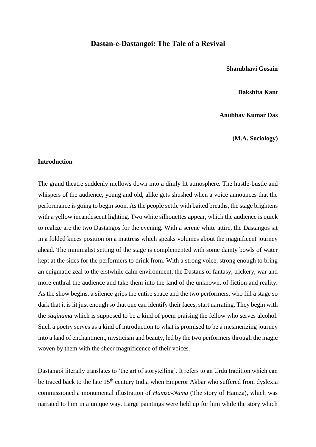# **Dastan-e-Dastangoi: The Tale of a Revival**

## **Shambhavi Gosain**

#### **Dakshita Kant**

## **Anubhav Kumar Das**

**(M.A. Sociology)** 

## **Introduction**

The grand theatre suddenly mellows down into a dimly lit atmosphere. The hustle-bustle and whispers of the audience, young and old, alike gets shushed when a voice announces that the performance is going to begin soon. As the people settle with baited breaths, the stage brightens with a yellow incandescent lighting. Two white silhouettes appear, which the audience is quick to realize are the two Dastangos for the evening. With a serene white attire, the Dastangos sit in a folded knees position on a mattress which speaks volumes about the magnificent journey ahead. The minimalist setting of the stage is complemented with some dainty bowls of water kept at the sides for the performers to drink from. With a strong voice, strong enough to bring an enigmatic zeal to the erstwhile calm environment, the Dastans of fantasy, trickery, war and more enthral the audience and take them into the land of the unknown, of fiction and reality. As the show begins, a silence grips the entire space and the two performers, who fill a stage so dark that it is lit just enough so that one can identify their faces, start narrating. They begin with the *saqinama* which is supposed to be a kind of poem praising the fellow who serves alcohol. Such a poetry serves as a kind of introduction to what is promised to be a mesmerizing journey into a land of enchantment, mysticism and beauty, led by the two performers through the magic woven by them with the sheer magnificence of their voices.

Dastangoi literally translates to 'the art of storytelling'. It refers to an Urdu tradition which can be traced back to the late 15<sup>th</sup> century India when Emperor Akbar who suffered from dyslexia commissioned a monumental illustration of *Hamza-Nama* (The story of Hamza), which was narrated to him in a unique way. Large paintings were held up for him while the story which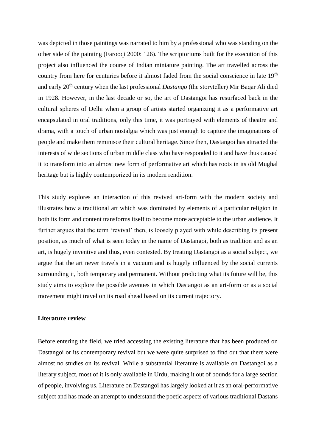was depicted in those paintings was narrated to him by a professional who was standing on the other side of the painting (Farooqi 2000: 126). The scriptoriums built for the execution of this project also influenced the course of Indian miniature painting. The art travelled across the country from here for centuries before it almost faded from the social conscience in late 19<sup>th</sup> and early 20th century when the last professional *Dastango* (the storyteller) Mir Baqar Ali died in 1928. However, in the last decade or so, the art of Dastangoi has resurfaced back in the cultural spheres of Delhi when a group of artists started organizing it as a performative art encapsulated in oral traditions, only this time, it was portrayed with elements of theatre and drama, with a touch of urban nostalgia which was just enough to capture the imaginations of people and make them reminisce their cultural heritage. Since then, Dastangoi has attracted the interests of wide sections of urban middle class who have responded to it and have thus caused it to transform into an almost new form of performative art which has roots in its old Mughal heritage but is highly contemporized in its modern rendition.

This study explores an interaction of this revived art-form with the modern society and illustrates how a traditional art which was dominated by elements of a particular religion in both its form and content transforms itself to become more acceptable to the urban audience. It further argues that the term 'revival' then, is loosely played with while describing its present position, as much of what is seen today in the name of Dastangoi, both as tradition and as an art, is hugely inventive and thus, even contested. By treating Dastangoi as a social subject, we argue that the art never travels in a vacuum and is hugely influenced by the social currents surrounding it, both temporary and permanent. Without predicting what its future will be, this study aims to explore the possible avenues in which Dastangoi as an art-form or as a social movement might travel on its road ahead based on its current trajectory.

# **Literature review**

Before entering the field, we tried accessing the existing literature that has been produced on Dastangoi or its contemporary revival but we were quite surprised to find out that there were almost no studies on its revival. While a substantial literature is available on Dastangoi as a literary subject, most of it is only available in Urdu, making it out of bounds for a large section of people, involving us. Literature on Dastangoi has largely looked at it as an oral-performative subject and has made an attempt to understand the poetic aspects of various traditional Dastans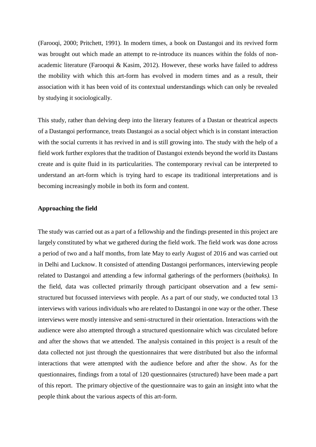(Farooqi, 2000; Pritchett, 1991). In modern times, a book on Dastangoi and its revived form was brought out which made an attempt to re-introduce its nuances within the folds of nonacademic literature (Farooqui & Kasim, 2012). However, these works have failed to address the mobility with which this art-form has evolved in modern times and as a result, their association with it has been void of its contextual understandings which can only be revealed by studying it sociologically.

This study, rather than delving deep into the literary features of a Dastan or theatrical aspects of a Dastangoi performance, treats Dastangoi as a social object which is in constant interaction with the social currents it has revived in and is still growing into. The study with the help of a field work further explores that the tradition of Dastangoi extends beyond the world its Dastans create and is quite fluid in its particularities. The contemporary revival can be interpreted to understand an art-form which is trying hard to escape its traditional interpretations and is becoming increasingly mobile in both its form and content.

## **Approaching the field**

The study was carried out as a part of a fellowship and the findings presented in this project are largely constituted by what we gathered during the field work. The field work was done across a period of two and a half months, from late May to early August of 2016 and was carried out in Delhi and Lucknow. It consisted of attending Dastangoi performances, interviewing people related to Dastangoi and attending a few informal gatherings of the performers (*baithaks).* In the field, data was collected primarily through participant observation and a few semistructured but focussed interviews with people. As a part of our study, we conducted total 13 interviews with various individuals who are related to Dastangoi in one way or the other. These interviews were mostly intensive and semi-structured in their orientation. Interactions with the audience were also attempted through a structured questionnaire which was circulated before and after the shows that we attended. The analysis contained in this project is a result of the data collected not just through the questionnaires that were distributed but also the informal interactions that were attempted with the audience before and after the show. As for the questionnaires, findings from a total of 120 questionnaires (structured) have been made a part of this report. The primary objective of the questionnaire was to gain an insight into what the people think about the various aspects of this art-form.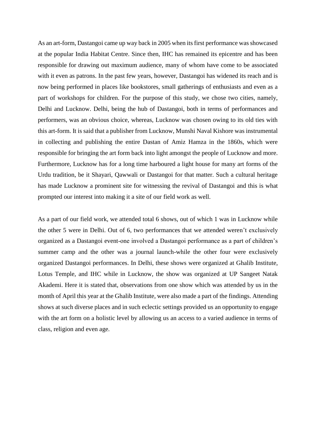As an art-form, Dastangoi came up way back in 2005 when its first performance was showcased at the popular India Habitat Centre. Since then, IHC has remained its epicentre and has been responsible for drawing out maximum audience, many of whom have come to be associated with it even as patrons. In the past few years, however, Dastangoi has widened its reach and is now being performed in places like bookstores, small gatherings of enthusiasts and even as a part of workshops for children. For the purpose of this study, we chose two cities, namely, Delhi and Lucknow. Delhi, being the hub of Dastangoi, both in terms of performances and performers, was an obvious choice, whereas, Lucknow was chosen owing to its old ties with this art-form. It is said that a publisher from Lucknow, Munshi Naval Kishore was instrumental in collecting and publishing the entire Dastan of Amiz Hamza in the 1860s, which were responsible for bringing the art form back into light amongst the people of Lucknow and more. Furthermore, Lucknow has for a long time harboured a light house for many art forms of the Urdu tradition, be it Shayari, Qawwali or Dastangoi for that matter. Such a cultural heritage has made Lucknow a prominent site for witnessing the revival of Dastangoi and this is what prompted our interest into making it a site of our field work as well.

As a part of our field work, we attended total 6 shows, out of which 1 was in Lucknow while the other 5 were in Delhi. Out of 6, two performances that we attended weren't exclusively organized as a Dastangoi event-one involved a Dastangoi performance as a part of children's summer camp and the other was a journal launch-while the other four were exclusively organized Dastangoi performances. In Delhi, these shows were organized at Ghalib Institute, Lotus Temple, and IHC while in Lucknow, the show was organized at UP Sangeet Natak Akademi. Here it is stated that, observations from one show which was attended by us in the month of April this year at the Ghalib Institute, were also made a part of the findings. Attending shows at such diverse places and in such eclectic settings provided us an opportunity to engage with the art form on a holistic level by allowing us an access to a varied audience in terms of class, religion and even age.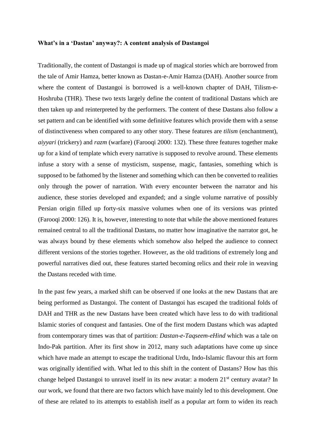#### **What's in a 'Dastan' anyway?: A content analysis of Dastangoi**

Traditionally, the content of Dastangoi is made up of magical stories which are borrowed from the tale of Amir Hamza, better known as Dastan-e-Amir Hamza (DAH). Another source from where the content of Dastangoi is borrowed is a well-known chapter of DAH, Tilism-e-Hoshruba (THR). These two texts largely define the content of traditional Dastans which are then taken up and reinterpreted by the performers. The content of these Dastans also follow a set pattern and can be identified with some definitive features which provide them with a sense of distinctiveness when compared to any other story. These features are *tilism* (enchantment), *aiyyari* (trickery) and *razm* (warfare) (Farooqi 2000: 132). These three features together make up for a kind of template which every narrative is supposed to revolve around. These elements infuse a story with a sense of mysticism, suspense, magic, fantasies, something which is supposed to be fathomed by the listener and something which can then be converted to realities only through the power of narration. With every encounter between the narrator and his audience, these stories developed and expanded; and a single volume narrative of possibly Persian origin filled up forty-six massive volumes when one of its versions was printed (Farooqi 2000: 126). It is, however, interesting to note that while the above mentioned features remained central to all the traditional Dastans, no matter how imaginative the narrator got, he was always bound by these elements which somehow also helped the audience to connect different versions of the stories together. However, as the old traditions of extremely long and powerful narratives died out, these features started becoming relics and their role in weaving the Dastans receded with time.

In the past few years, a marked shift can be observed if one looks at the new Dastans that are being performed as Dastangoi. The content of Dastangoi has escaped the traditional folds of DAH and THR as the new Dastans have been created which have less to do with traditional Islamic stories of conquest and fantasies. One of the first modern Dastans which was adapted from contemporary times was that of partition: *Dastan-e-Taqseem-eHind* which was a tale on Indo-Pak partition. After its first show in 2012, many such adaptations have come up since which have made an attempt to escape the traditional Urdu, Indo-Islamic flavour this art form was originally identified with. What led to this shift in the content of Dastans? How has this change helped Dastangoi to unravel itself in its new avatar: a modern 21<sup>st</sup> century avatar? In our work, we found that there are two factors which have mainly led to this development. One of these are related to its attempts to establish itself as a popular art form to widen its reach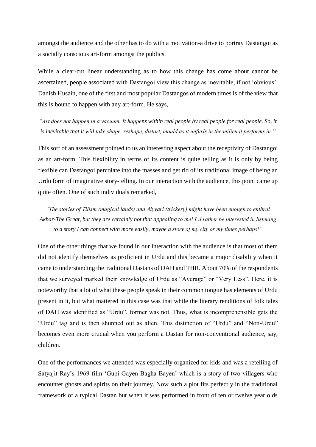amongst the audience and the other has to do with a motivation-a drive to portray Dastangoi as a socially conscious art-form amongst the publics.

While a clear-cut linear understanding as to how this change has come about cannot be ascertained, people associated with Dastangoi view this change as inevitable, if not 'obvious'. Danish Husain, one of the first and most popular Dastangos of modern times is of the view that this is bound to happen with any art-form. He says,

*"Art does not happen in a vacuum. It happens within real people by real people for real people. So, it is inevitable that it will take shape, reshape, distort, mould as it unfurls in the milieu it performs in."*

This sort of an assessment pointed to us an interesting aspect about the receptivity of Dastangoi as an art-form. This flexibility in terms of its content is quite telling as it is only by being flexible can Dastangoi percolate into the masses and get rid of its traditional image of being an Urdu form of imaginative story-telling. In our interaction with the audience, this point came up quite often. One of such individuals remarked,

*"The stories of Tilism (magical lands) and Aiyyari (trickery) might have been enough to enthral Akbar-The Great, but they are certainly not that appealing to me! I'd rather be interested in listening to a story I can connect with more easily, maybe a story of my city or my times perhaps!"*

One of the other things that we found in our interaction with the audience is that most of them did not identify themselves as proficient in Urdu and this became a major disability when it came to understanding the traditional Dastans of DAH and THR. About 70% of the respondents that we surveyed marked their knowledge of Urdu as "Average" or "Very Less". Here, it is noteworthy that a lot of what these people speak in their common tongue has elements of Urdu present in it, but what mattered in this case was that while the literary renditions of folk tales of DAH was identified as "Urdu", former was not. Thus, what is incomprehensible gets the "Urdu" tag and is then shunned out as alien. This distinction of "Urdu" and "Non-Urdu" becomes even more crucial when you perform a Dastan for non-conventional audience, say, children.

One of the performances we attended was especially organized for kids and was a retelling of Satyajit Ray's 1969 film 'Gupi Gayen Bagha Bayen' which is a story of two villagers who encounter ghosts and spirits on their journey. Now such a plot fits perfectly in the traditional framework of a typical Dastan but when it was performed in front of ten or twelve year olds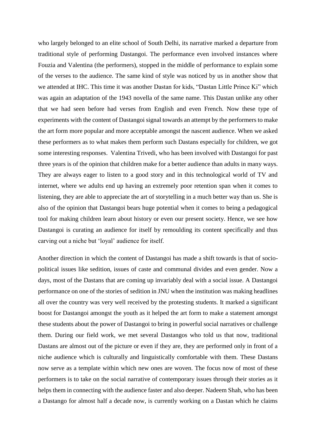who largely belonged to an elite school of South Delhi, its narrative marked a departure from traditional style of performing Dastangoi. The performance even involved instances where Fouzia and Valentina (the performers), stopped in the middle of performance to explain some of the verses to the audience. The same kind of style was noticed by us in another show that we attended at IHC. This time it was another Dastan for kids, "Dastan Little Prince Ki" which was again an adaptation of the 1943 novella of the same name. This Dastan unlike any other that we had seen before had verses from English and even French. Now these type of experiments with the content of Dastangoi signal towards an attempt by the performers to make the art form more popular and more acceptable amongst the nascent audience. When we asked these performers as to what makes them perform such Dastans especially for children, we got some interesting responses. Valentina Trivedi, who has been involved with Dastangoi for past three years is of the opinion that children make for a better audience than adults in many ways. They are always eager to listen to a good story and in this technological world of TV and internet, where we adults end up having an extremely poor retention span when it comes to listening, they are able to appreciate the art of storytelling in a much better way than us. She is also of the opinion that Dastangoi bears huge potential when it comes to being a pedagogical tool for making children learn about history or even our present society. Hence, we see how Dastangoi is curating an audience for itself by remoulding its content specifically and thus carving out a niche but 'loyal' audience for itself.

Another direction in which the content of Dastangoi has made a shift towards is that of sociopolitical issues like sedition, issues of caste and communal divides and even gender. Now a days, most of the Dastans that are coming up invariably deal with a social issue. A Dastangoi performance on one of the stories of sedition in JNU when the institution was making headlines all over the country was very well received by the protesting students. It marked a significant boost for Dastangoi amongst the youth as it helped the art form to make a statement amongst these students about the power of Dastangoi to bring in powerful social narratives or challenge them. During our field work, we met several Dastangos who told us that now, traditional Dastans are almost out of the picture or even if they are, they are performed only in front of a niche audience which is culturally and linguistically comfortable with them. These Dastans now serve as a template within which new ones are woven. The focus now of most of these performers is to take on the social narrative of contemporary issues through their stories as it helps them in connecting with the audience faster and also deeper. Nadeem Shah, who has been a Dastango for almost half a decade now, is currently working on a Dastan which he claims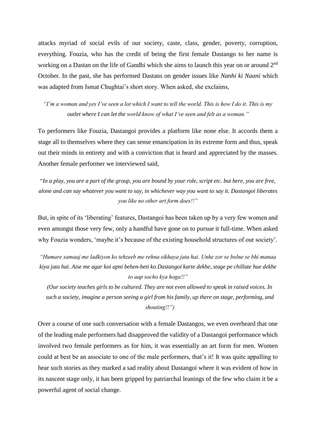attacks myriad of social evils of our society, caste, class, gender, poverty, corruption, everything. Fouzia, who has the credit of being the first female Dastango to her name is working on a Dastan on the life of Gandhi which she aims to launch this year on or around 2nd October. In the past, she has performed Dastans on gender issues like *Nanhi ki Naani* which was adapted from Ismat Chughtai's short story. When asked, she exclaims,

*"I'm a woman and yes I've seen a lot which I want to tell the world. This is how I do it. This is my outlet where I can let the world know of what I've seen and felt as a woman."*

To performers like Fouzia, Dastangoi provides a platform like none else. It accords them a stage all to themselves where they can sense emancipation in its extreme form and thus, speak out their minds in entirety and with a conviction that is heard and appreciated by the masses. Another female performer we interviewed said,

"*In a play, you are a part of the group, you are bound by your role, script etc. but here, you are free, alone and can say whatever you want to say, in whichever way you want to say it. Dastangoi liberates you like no other art form does!!"*

But, in spite of its 'liberating' features, Dastangoi has been taken up by a very few women and even amongst those very few, only a handful have gone on to pursue it full-time. When asked why Fouzia wonders, 'maybe it's because of the existing household structures of our society'.

*"Humare samaaj me ladkiyon ko tehzeeb me rehna sikhaya jata hai. Unhe zor se bolne se bhi manaa kiya jata hai. Aise me agar koi apni behen-beti ko Dastangoi karte dekhe, stage pe chillate hue dekhe to aap socho kya hoga!!"*

*(Our society teaches girls to be cultured. They are not even allowed to speak in raised voices. In such a society, imagine a person seeing a girl from his family, up there on stage, performing, and shouting!!")*

Over a course of one such conversation with a female Dastangos, we even overheard that one of the leading male performers had disapproved the validity of a Dastangoi performance which involved two female performers as for him, it was essentially an art form for men. Women could at best be an associate to one of the male performers, that's it! It was quite appalling to hear such stories as they marked a sad reality about Dastangoi where it was evident of how in its nascent stage only, it has been gripped by patriarchal leanings of the few who claim it be a powerful agent of social change.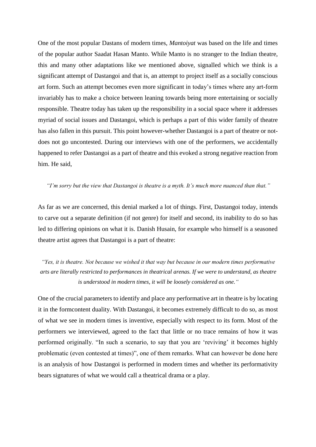One of the most popular Dastans of modern times, *Mantoiyat* was based on the life and times of the popular author Saadat Hasan Manto. While Manto is no stranger to the Indian theatre, this and many other adaptations like we mentioned above, signalled which we think is a significant attempt of Dastangoi and that is, an attempt to project itself as a socially conscious art form. Such an attempt becomes even more significant in today's times where any art-form invariably has to make a choice between leaning towards being more entertaining or socially responsible. Theatre today has taken up the responsibility in a social space where it addresses myriad of social issues and Dastangoi, which is perhaps a part of this wider family of theatre has also fallen in this pursuit. This point however-whether Dastangoi is a part of theatre or notdoes not go uncontested. During our interviews with one of the performers, we accidentally happened to refer Dastangoi as a part of theatre and this evoked a strong negative reaction from him. He said,

## *"I'm sorry but the view that Dastangoi is theatre is a myth. It's much more nuanced than that."*

As far as we are concerned, this denial marked a lot of things. First, Dastangoi today, intends to carve out a separate definition (if not genre) for itself and second, its inability to do so has led to differing opinions on what it is. Danish Husain, for example who himself is a seasoned theatre artist agrees that Dastangoi is a part of theatre:

*"Yes, it is theatre. Not because we wished it that way but because in our modern times performative arts are literally restricted to performances in theatrical arenas. If we were to understand, as theatre is understood in modern times, it will be loosely considered as one."* 

One of the crucial parameters to identify and place any performative art in theatre is by locating it in the formcontent duality. With Dastangoi, it becomes extremely difficult to do so, as most of what we see in modern times is inventive, especially with respect to its form. Most of the performers we interviewed, agreed to the fact that little or no trace remains of how it was performed originally. "In such a scenario, to say that you are 'reviving' it becomes highly problematic (even contested at times)", one of them remarks. What can however be done here is an analysis of how Dastangoi is performed in modern times and whether its performativity bears signatures of what we would call a theatrical drama or a play.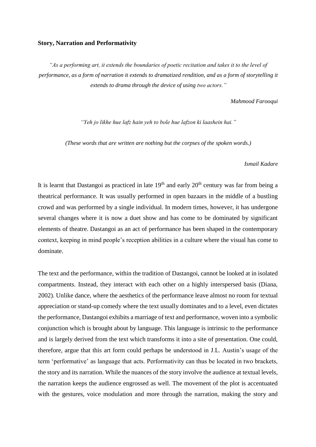### **Story, Narration and Performativity**

*"As a performing art, it extends the boundaries of poetic recitation and takes it to the level of performance, as a form of narration it extends to dramatized rendition, and as a form of storytelling it extends to drama through the device of using two actors."*

#### *Mahmood Farooqui*

*"Yeh jo likhe hue lafz hain yeh to bole hue lafzon ki laashein hai."*

*(These words that are written are nothing but the corpses of the spoken words.)*

#### *Ismail Kadare*

It is learnt that Dastangoi as practiced in late  $19<sup>th</sup>$  and early  $20<sup>th</sup>$  century was far from being a theatrical performance. It was usually performed in open bazaars in the middle of a bustling crowd and was performed by a single individual. In modern times, however, it has undergone several changes where it is now a duet show and has come to be dominated by significant elements of theatre. Dastangoi as an act of performance has been shaped in the contemporary context, keeping in mind people's reception abilities in a culture where the visual has come to dominate.

The text and the performance, within the tradition of Dastangoi, cannot be looked at in isolated compartments. Instead, they interact with each other on a highly interspersed basis (Diana, 2002). Unlike dance, where the aesthetics of the performance leave almost no room for textual appreciation or stand-up comedy where the text usually dominates and to a level, even dictates the performance, Dastangoi exhibits a marriage of text and performance, woven into a symbolic conjunction which is brought about by language. This language is intrinsic to the performance and is largely derived from the text which transforms it into a site of presentation. One could, therefore, argue that this art form could perhaps be understood in J.L. Austin's usage of the term 'performative' as language that acts. Performativity can thus be located in two brackets, the story and its narration. While the nuances of the story involve the audience at textual levels, the narration keeps the audience engrossed as well. The movement of the plot is accentuated with the gestures, voice modulation and more through the narration, making the story and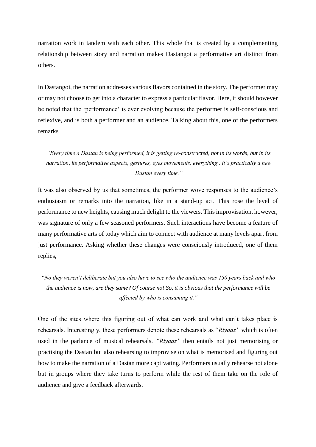narration work in tandem with each other. This whole that is created by a complementing relationship between story and narration makes Dastangoi a performative art distinct from others.

In Dastangoi, the narration addresses various flavors contained in the story. The performer may or may not choose to get into a character to express a particular flavor. Here, it should however be noted that the 'performance' is ever evolving because the performer is self-conscious and reflexive, and is both a performer and an audience. Talking about this, one of the performers remarks

*"Every time a Dastan is being performed, it is getting re-constructed, not in its words, but in its narration, its performative aspects, gestures, eyes movements, everything.. it's practically a new Dastan every time."*

It was also observed by us that sometimes, the performer wove responses to the audience's enthusiasm or remarks into the narration, like in a stand-up act. This rose the level of performance to new heights, causing much delight to the viewers. This improvisation, however, was signature of only a few seasoned performers. Such interactions have become a feature of many performative arts of today which aim to connect with audience at many levels apart from just performance. Asking whether these changes were consciously introduced, one of them replies,

*"No they weren't deliberate but you also have to see who the audience was 150 years back and who the audience is now, are they same? Of course no! So, it is obvious that the performance will be affected by who is consuming it."* 

One of the sites where this figuring out of what can work and what can't takes place is rehearsals. Interestingly, these performers denote these rehearsals as "*Riyaaz"* which is often used in the parlance of musical rehearsals. *"Riyaaz"* then entails not just memorising or practising the Dastan but also rehearsing to improvise on what is memorised and figuring out how to make the narration of a Dastan more captivating. Performers usually rehearse not alone but in groups where they take turns to perform while the rest of them take on the role of audience and give a feedback afterwards.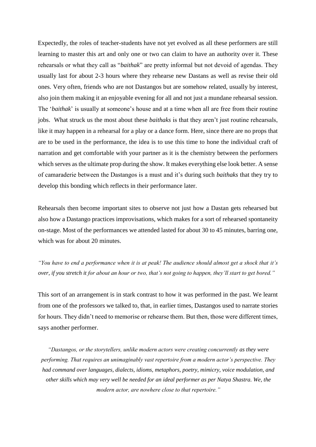Expectedly, the roles of teacher-students have not yet evolved as all these performers are still learning to master this art and only one or two can claim to have an authority over it. These rehearsals or what they call as "*baithak*" are pretty informal but not devoid of agendas. They usually last for about 2-3 hours where they rehearse new Dastans as well as revise their old ones. Very often, friends who are not Dastangos but are somehow related, usually by interest, also join them making it an enjoyable evening for all and not just a mundane rehearsal session. The '*baithak*' is usually at someone's house and at a time when all are free from their routine jobs. What struck us the most about these *baithaks* is that they aren't just routine rehearsals, like it may happen in a rehearsal for a play or a dance form. Here, since there are no props that are to be used in the performance, the idea is to use this time to hone the individual craft of narration and get comfortable with your partner as it is the chemistry between the performers which serves as the ultimate prop during the show. It makes everything else look better. A sense of camaraderie between the Dastangos is a must and it's during such *baithaks* that they try to develop this bonding which reflects in their performance later.

Rehearsals then become important sites to observe not just how a Dastan gets rehearsed but also how a Dastango practices improvisations, which makes for a sort of rehearsed spontaneity on-stage. Most of the performances we attended lasted for about 30 to 45 minutes, barring one, which was for about 20 minutes.

*"You have to end a performance when it is at peak! The audience should almost get a shock that it's over, if you stretch it for about an hour or two, that's not going to happen, they'll start to get bored."*

This sort of an arrangement is in stark contrast to how it was performed in the past. We learnt from one of the professors we talked to, that, in earlier times, Dastangos used to narrate stories for hours. They didn't need to memorise or rehearse them. But then, those were different times, says another performer.

*"Dastangos, or the storytellers, unlike modern actors were creating concurrently as they were performing. That requires an unimaginably vast repertoire from a modern actor's perspective. They had command over languages, dialects, idioms, metaphors, poetry, mimicry, voice modulation, and other skills which may very well be needed for an ideal performer as per Natya Shastra. We, the modern actor, are nowhere close to that repertoire."*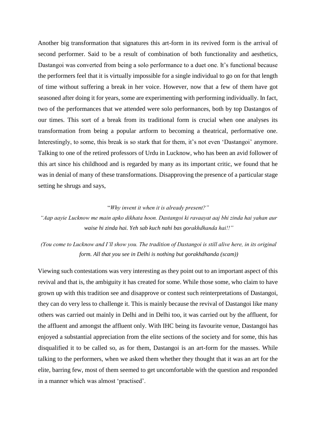Another big transformation that signatures this art-form in its revived form is the arrival of second performer. Said to be a result of combination of both functionality and aesthetics, Dastangoi was converted from being a solo performance to a duet one. It's functional because the performers feel that it is virtually impossible for a single individual to go on for that length of time without suffering a break in her voice. However, now that a few of them have got seasoned after doing it for years, some are experimenting with performing individually. In fact, two of the performances that we attended were solo performances, both by top Dastangos of our times. This sort of a break from its traditional form is crucial when one analyses its transformation from being a popular artform to becoming a theatrical, performative one. Interestingly, to some, this break is so stark that for them, it's not even 'Dastangoi' anymore. Talking to one of the retired professors of Urdu in Lucknow, who has been an avid follower of this art since his childhood and is regarded by many as its important critic, we found that he was in denial of many of these transformations. Disapproving the presence of a particular stage setting he shrugs and says,

## "*Why invent it when it is already present?"*

*"Aap aayie Lucknow me main apko dikhata hoon. Dastangoi ki ravaayat aaj bhi zinda hai yahan aur waise hi zinda hai. Yeh sab kuch nahi bas gorakhdhanda hai!!"*

*(You come to Lucknow and I'll show you. The tradition of Dastangoi is still alive here, in its original form. All that you see in Delhi is nothing but gorakhdhanda (scam))*

Viewing such contestations was very interesting as they point out to an important aspect of this revival and that is, the ambiguity it has created for some. While those some, who claim to have grown up with this tradition see and disapprove or contest such reinterpretations of Dastangoi, they can do very less to challenge it. This is mainly because the revival of Dastangoi like many others was carried out mainly in Delhi and in Delhi too, it was carried out by the affluent, for the affluent and amongst the affluent only. With IHC being its favourite venue, Dastangoi has enjoyed a substantial appreciation from the elite sections of the society and for some, this has disqualified it to be called so, as for them, Dastangoi is an art-form for the masses. While talking to the performers, when we asked them whether they thought that it was an art for the elite, barring few, most of them seemed to get uncomfortable with the question and responded in a manner which was almost 'practised'.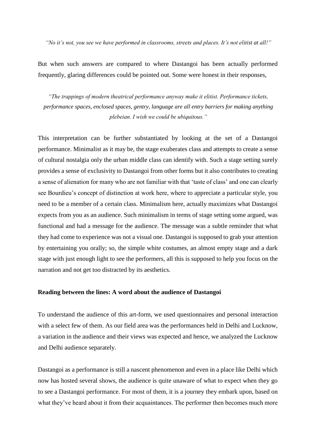*"No it's not, you see we have performed in classrooms, streets and places. It's not elitist at all!"* 

But when such answers are compared to where Dastangoi has been actually performed frequently, glaring differences could be pointed out. Some were honest in their responses,

*"The trappings of modern theatrical performance anyway make it elitist. Performance tickets, performance spaces, enclosed spaces, gentry, language are all entry barriers for making anything plebeian. I wish we could be ubiquitous."* 

This interpretation can be further substantiated by looking at the set of a Dastangoi performance. Minimalist as it may be, the stage exuberates class and attempts to create a sense of cultural nostalgia only the urban middle class can identify with. Such a stage setting surely provides a sense of exclusivity to Dastangoi from other forms but it also contributes to creating a sense of alienation for many who are not familiar with that 'taste of class' and one can clearly see Bourdieu's concept of distinction at work here, where to appreciate a particular style, you need to be a member of a certain class. Minimalism here, actually maximizes what Dastangoi expects from you as an audience. Such minimalism in terms of stage setting some argued, was functional and had a message for the audience. The message was a subtle reminder that what they had come to experience was not a visual one. Dastangoi is supposed to grab your attention by entertaining you orally; so, the simple white costumes, an almost empty stage and a dark stage with just enough light to see the performers, all this is supposed to help you focus on the narration and not get too distracted by its aesthetics.

#### **Reading between the lines: A word about the audience of Dastangoi**

To understand the audience of this art-form, we used questionnaires and personal interaction with a select few of them. As our field area was the performances held in Delhi and Lucknow, a variation in the audience and their views was expected and hence, we analyzed the Lucknow and Delhi audience separately.

Dastangoi as a performance is still a nascent phenomenon and even in a place like Delhi which now has hosted several shows, the audience is quite unaware of what to expect when they go to see a Dastangoi performance. For most of them, it is a journey they embark upon, based on what they've heard about it from their acquaintances. The performer then becomes much more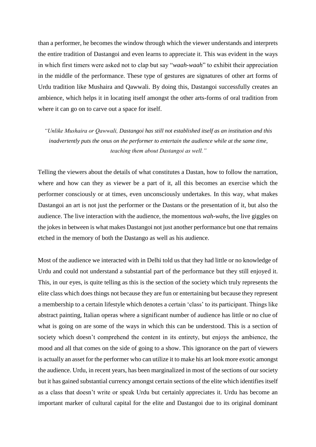than a performer, he becomes the window through which the viewer understands and interprets the entire tradition of Dastangoi and even learns to appreciate it. This was evident in the ways in which first timers were asked not to clap but say "*waah-waah*" to exhibit their appreciation in the middle of the performance. These type of gestures are signatures of other art forms of Urdu tradition like Mushaira and Qawwali. By doing this, Dastangoi successfully creates an ambience, which helps it in locating itself amongst the other arts-forms of oral tradition from where it can go on to carve out a space for itself.

*"Unlike Mushaira or Qawwali, Dastangoi has still not established itself as an institution and this inadvertently puts the onus on the performer to entertain the audience while at the same time, teaching them about Dastangoi as well."* 

Telling the viewers about the details of what constitutes a Dastan, how to follow the narration, where and how can they as viewer be a part of it, all this becomes an exercise which the performer consciously or at times, even unconsciously undertakes. In this way, what makes Dastangoi an art is not just the performer or the Dastans or the presentation of it, but also the audience. The live interaction with the audience, the momentous *wah-wahs,* the live giggles on the jokes in between is what makes Dastangoi not just another performance but one that remains etched in the memory of both the Dastango as well as his audience.

Most of the audience we interacted with in Delhi told us that they had little or no knowledge of Urdu and could not understand a substantial part of the performance but they still enjoyed it. This, in our eyes, is quite telling as this is the section of the society which truly represents the elite class which does things not because they are fun or entertaining but because they represent a membership to a certain lifestyle which denotes a certain 'class' to its participant. Things like abstract painting, Italian operas where a significant number of audience has little or no clue of what is going on are some of the ways in which this can be understood. This is a section of society which doesn't comprehend the content in its entirety, but enjoys the ambience, the mood and all that comes on the side of going to a show. This ignorance on the part of viewers is actually an asset for the performer who can utilize it to make his art look more exotic amongst the audience. Urdu, in recent years, has been marginalized in most of the sections of our society but it has gained substantial currency amongst certain sections of the elite which identifies itself as a class that doesn't write or speak Urdu but certainly appreciates it. Urdu has become an important marker of cultural capital for the elite and Dastangoi due to its original dominant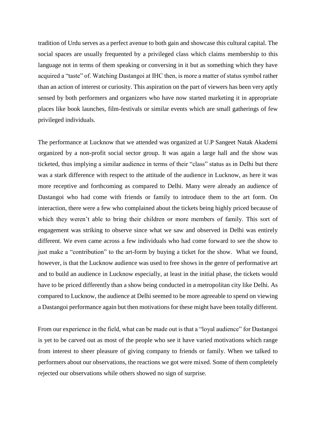tradition of Urdu serves as a perfect avenue to both gain and showcase this cultural capital. The social spaces are usually frequented by a privileged class which claims membership to this language not in terms of them speaking or conversing in it but as something which they have acquired a "taste" of. Watching Dastangoi at IHC then, is more a matter of status symbol rather than an action of interest or curiosity. This aspiration on the part of viewers has been very aptly sensed by both performers and organizers who have now started marketing it in appropriate places like book launches, film-festivals or similar events which are small gatherings of few privileged individuals.

The performance at Lucknow that we attended was organized at U.P Sangeet Natak Akademi organized by a non-profit social sector group. It was again a large hall and the show was ticketed, thus implying a similar audience in terms of their "class" status as in Delhi but there was a stark difference with respect to the attitude of the audience in Lucknow, as here it was more receptive and forthcoming as compared to Delhi. Many were already an audience of Dastangoi who had come with friends or family to introduce them to the art form. On interaction, there were a few who complained about the tickets being highly priced because of which they weren't able to bring their children or more members of family. This sort of engagement was striking to observe since what we saw and observed in Delhi was entirely different. We even came across a few individuals who had come forward to see the show to just make a "contribution" to the art-form by buying a ticket for the show. What we found, however, is that the Lucknow audience was used to free shows in the genre of performative art and to build an audience in Lucknow especially, at least in the initial phase, the tickets would have to be priced differently than a show being conducted in a metropolitan city like Delhi. As compared to Lucknow, the audience at Delhi seemed to be more agreeable to spend on viewing a Dastangoi performance again but then motivations for these might have been totally different.

From our experience in the field, what can be made out is that a "loyal audience" for Dastangoi is yet to be carved out as most of the people who see it have varied motivations which range from interest to sheer pleasure of giving company to friends or family. When we talked to performers about our observations, the reactions we got were mixed. Some of them completely rejected our observations while others showed no sign of surprise.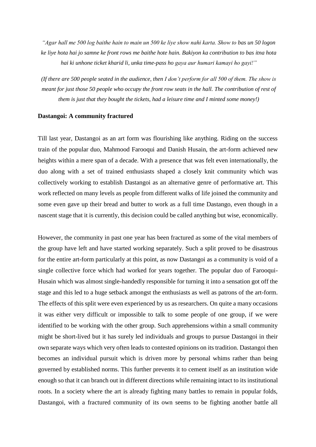*"Agar hall me 500 log baithe hain to main un 500 ke liye show nahi karta. Show to bas un 50 logon ke liye hota hai jo samne ke front rows me baithe hote hain. Bakiyon ka contribution to bas itna hota hai ki unhone ticket kharid li, unka time-pass ho gaya aur humari kamayi ho gayi!"*

*(If there are 500 people seated in the audience, then I don't perform for all 500 of them. The show is meant for just those 50 people who occupy the front row seats in the hall. The contribution of rest of them is just that they bought the tickets, had a leisure time and I minted some money!)*

## **Dastangoi: A community fractured**

Till last year, Dastangoi as an art form was flourishing like anything. Riding on the success train of the popular duo, Mahmood Farooqui and Danish Husain, the art-form achieved new heights within a mere span of a decade. With a presence that was felt even internationally, the duo along with a set of trained enthusiasts shaped a closely knit community which was collectively working to establish Dastangoi as an alternative genre of performative art. This work reflected on many levels as people from different walks of life joined the community and some even gave up their bread and butter to work as a full time Dastango, even though in a nascent stage that it is currently, this decision could be called anything but wise, economically.

However, the community in past one year has been fractured as some of the vital members of the group have left and have started working separately. Such a split proved to be disastrous for the entire art-form particularly at this point, as now Dastangoi as a community is void of a single collective force which had worked for years together. The popular duo of Farooqui-Husain which was almost single-handedly responsible for turning it into a sensation got off the stage and this led to a huge setback amongst the enthusiasts as well as patrons of the art-form. The effects of this split were even experienced by us as researchers. On quite a many occasions it was either very difficult or impossible to talk to some people of one group, if we were identified to be working with the other group. Such apprehensions within a small community might be short-lived but it has surely led individuals and groups to pursue Dastangoi in their own separate ways which very often leads to contested opinions on its tradition. Dastangoi then becomes an individual pursuit which is driven more by personal whims rather than being governed by established norms. This further prevents it to cement itself as an institution wide enough so that it can branch out in different directions while remaining intact to its institutional roots. In a society where the art is already fighting many battles to remain in popular folds, Dastangoi, with a fractured community of its own seems to be fighting another battle all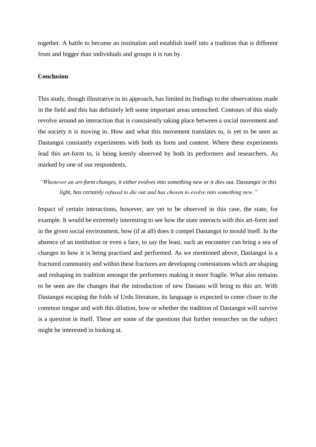together. A battle to become an institution and establish itself into a tradition that is different from and bigger than individuals and groups it is run by.

### **Conclusion**

This study, though illustrative in its approach, has limited its findings to the observations made in the field and this has definitely left some important areas untouched. Contours of this study revolve around an interaction that is consistently taking place between a social movement and the society it is moving in. How and what this movement translates to, is yet to be seen as Dastangoi constantly experiments with both its form and content. Where these experiments lead this art-form to, is being keenly observed by both its performers and researchers. As marked by one of our respondents,

# *"Whenever an art-form changes, it either evolves into something new or it dies out. Dastangoi in this light, has certainly refused to die out and has chosen to evolve into something new."*

Impact of certain interactions, however, are yet to be observed in this case, the state, for example. It would be extremely interesting to see how the state interacts with this art-form and in the given social environment, how (if at all) does it compel Dastangoi to mould itself. In the absence of an institution or even a face, to say the least, such an encounter can bring a sea of changes to how it is being practised and performed. As we mentioned above, Dastangoi is a fractured community and within these fractures are developing contestations which are shaping and reshaping its tradition amongst the performers making it more fragile. What also remains to be seen are the changes that the introduction of new Dastans will bring to this art. With Dastangoi escaping the folds of Urdu literature, its language is expected to come closer to the common tongue and with this dilution, how or whether the tradition of Dastangoi will survive is a question in itself. These are some of the questions that further researches on the subject might be interested in looking at.